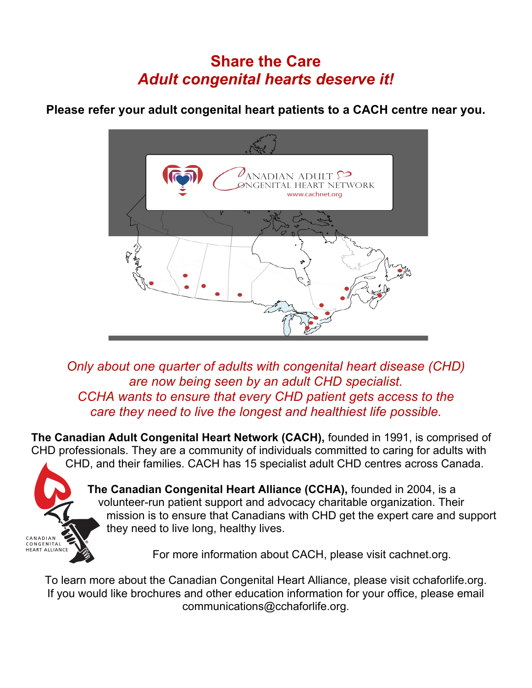## **Share the Care** *Adult congenital hearts deserve it!*

**Please refer your adult congenital heart patients to a CACH centre near you.**



*Only about one quarter of adults with congenital heart disease (CHD) are now being seen by an adult CHD specialist. CCHA wants to ensure that every CHD patient gets access to the care they need to live the longest and healthiest life possible.*

**The Canadian Adult Congenital Heart Network (CACH),** founded in 1991, is comprised of CHD professionals. They are a community of individuals committed to caring for adults with CHD, and their families. CACH has 15 specialist adult CHD centres across Canada.



**The Canadian Congenital Heart Alliance (CCHA),** founded in 2004, is a volunteer-run patient support and advocacy charitable organization. Their mission is to ensure that Canadians with CHD get the expert care and support they need to live long, healthy lives.

For more information about CACH, please visit cachnet.org.

To learn more about the Canadian Congenital Heart Alliance, please visit cchaforlife.org. If you would like brochures and other education information for your office, please email communications@cchaforlife.org.